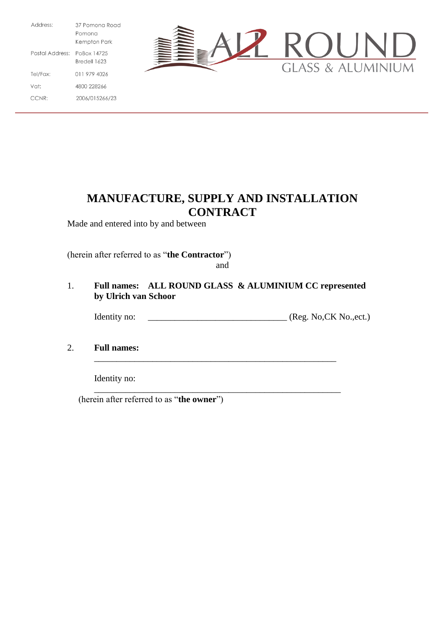Address: 37 Pomona Road Pomona Kempton Park Postal Address: PoBox 14725 Bredell 1623 011 979 4026 Tel/Fax: 4800 228266 Vat: CCNR: 2006/015266/23



# **MANUFACTURE, SUPPLY AND INSTALLATION CONTRACT**

Made and entered into by and between

(herein after referred to as "**the Contractor**") and

1. **Full names: ALL ROUND GLASS & ALUMINIUM CC represented by Ulrich van Schoor** Identity no: \_\_\_\_\_\_\_\_\_\_\_\_\_\_\_\_\_\_\_\_\_\_\_\_\_\_\_\_\_\_\_ (Reg. No,CK No.,ect.) 2. **Full names:** \_\_\_\_\_\_\_\_\_\_\_\_\_\_\_\_\_\_\_\_\_\_\_\_\_\_\_\_\_\_\_\_\_\_\_\_\_\_\_\_\_\_\_\_\_\_\_\_\_\_\_\_\_\_

Identity no: \_\_\_\_\_\_\_\_\_\_\_\_\_\_\_\_\_\_\_\_\_\_\_\_\_\_\_\_\_\_\_\_\_\_\_\_\_\_\_\_\_\_\_\_\_\_\_\_\_\_\_\_\_\_\_

(herein after referred to as "**the owner**")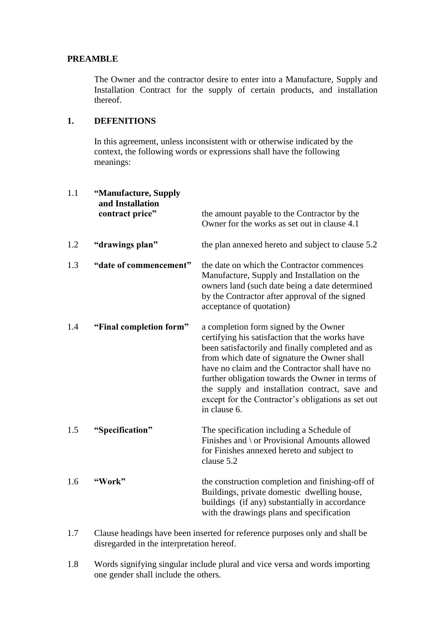#### **PREAMBLE**

The Owner and the contractor desire to enter into a Manufacture, Supply and Installation Contract for the supply of certain products, and installation thereof.

#### **1. DEFENITIONS**

In this agreement, unless inconsistent with or otherwise indicated by the context, the following words or expressions shall have the following meanings:

| 1.1 | "Manufacture, Supply<br>and Installation<br>contract price" | the amount payable to the Contractor by the<br>Owner for the works as set out in clause 4.1                                                                                                                                                                                                                                                                                                                                |
|-----|-------------------------------------------------------------|----------------------------------------------------------------------------------------------------------------------------------------------------------------------------------------------------------------------------------------------------------------------------------------------------------------------------------------------------------------------------------------------------------------------------|
| 1.2 | "drawings plan"                                             | the plan annexed hereto and subject to clause 5.2                                                                                                                                                                                                                                                                                                                                                                          |
| 1.3 | "date of commencement"                                      | the date on which the Contractor commences<br>Manufacture, Supply and Installation on the<br>owners land (such date being a date determined<br>by the Contractor after approval of the signed<br>acceptance of quotation)                                                                                                                                                                                                  |
| 1.4 | "Final completion form"                                     | a completion form signed by the Owner<br>certifying his satisfaction that the works have<br>been satisfactorily and finally completed and as<br>from which date of signature the Owner shall<br>have no claim and the Contractor shall have no<br>further obligation towards the Owner in terms of<br>the supply and installation contract, save and<br>except for the Contractor's obligations as set out<br>in clause 6. |
| 1.5 | "Specification"                                             | The specification including a Schedule of<br>Finishes and \ or Provisional Amounts allowed<br>for Finishes annexed hereto and subject to<br>clause 5.2                                                                                                                                                                                                                                                                     |
| 1.6 | "Work"                                                      | the construction completion and finishing-off of<br>Buildings, private domestic dwelling house,<br>buildings (if any) substantially in accordance<br>with the drawings plans and specification                                                                                                                                                                                                                             |

- 1.7 Clause headings have been inserted for reference purposes only and shall be disregarded in the interpretation hereof.
- 1.8 Words signifying singular include plural and vice versa and words importing one gender shall include the others.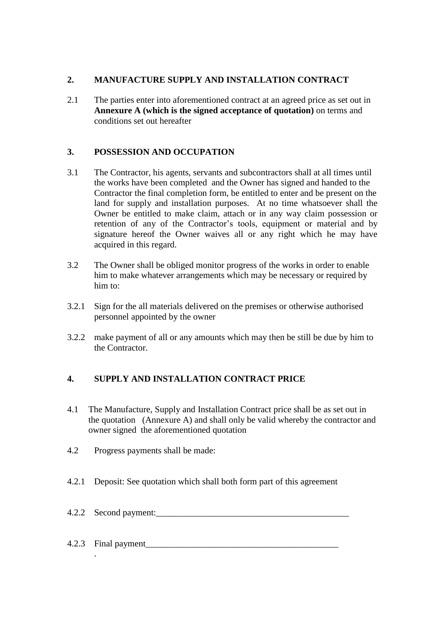## **2. MANUFACTURE SUPPLY AND INSTALLATION CONTRACT**

2.1 The parties enter into aforementioned contract at an agreed price as set out in **Annexure A (which is the signed acceptance of quotation)** on terms and conditions set out hereafter

# **3. POSSESSION AND OCCUPATION**

- 3.1 The Contractor, his agents, servants and subcontractors shall at all times until the works have been completed and the Owner has signed and handed to the Contractor the final completion form, be entitled to enter and be present on the land for supply and installation purposes. At no time whatsoever shall the Owner be entitled to make claim, attach or in any way claim possession or retention of any of the Contractor's tools, equipment or material and by signature hereof the Owner waives all or any right which he may have acquired in this regard.
- 3.2 The Owner shall be obliged monitor progress of the works in order to enable him to make whatever arrangements which may be necessary or required by him to:
- 3.2.1 Sign for the all materials delivered on the premises or otherwise authorised personnel appointed by the owner
- 3.2.2 make payment of all or any amounts which may then be still be due by him to the Contractor.

# **4. SUPPLY AND INSTALLATION CONTRACT PRICE**

- 4.1 The Manufacture, Supply and Installation Contract price shall be as set out in the quotation (Annexure A) and shall only be valid whereby the contractor and owner signed the aforementioned quotation
- 4.2 Progress payments shall be made:

.

- 4.2.1 Deposit: See quotation which shall both form part of this agreement
- 4.2.2 Second payment:

# 4.2.3 Final payment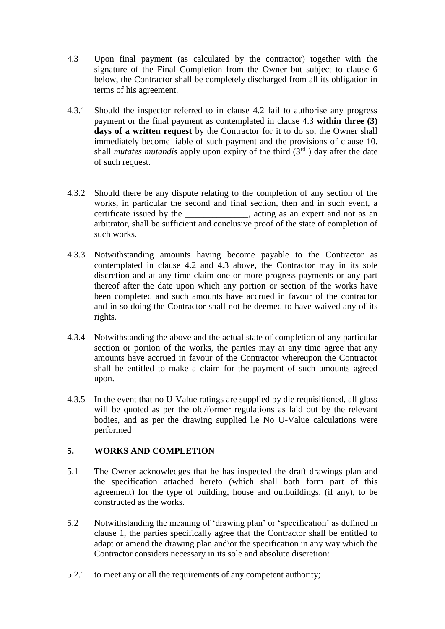- 4.3 Upon final payment (as calculated by the contractor) together with the signature of the Final Completion from the Owner but subject to clause 6 below, the Contractor shall be completely discharged from all its obligation in terms of his agreement.
- 4.3.1 Should the inspector referred to in clause 4.2 fail to authorise any progress payment or the final payment as contemplated in clause 4.3 **within three (3) days of a written request** by the Contractor for it to do so, the Owner shall immediately become liable of such payment and the provisions of clause 10. shall *mutates mutandis* apply upon expiry of the third  $(3<sup>rd</sup>)$  day after the date of such request.
- 4.3.2 Should there be any dispute relating to the completion of any section of the works, in particular the second and final section, then and in such event, a certificate issued by the \_\_\_\_\_\_\_\_\_\_\_\_\_\_, acting as an expert and not as an arbitrator, shall be sufficient and conclusive proof of the state of completion of such works.
- 4.3.3 Notwithstanding amounts having become payable to the Contractor as contemplated in clause 4.2 and 4.3 above, the Contractor may in its sole discretion and at any time claim one or more progress payments or any part thereof after the date upon which any portion or section of the works have been completed and such amounts have accrued in favour of the contractor and in so doing the Contractor shall not be deemed to have waived any of its rights.
- 4.3.4 Notwithstanding the above and the actual state of completion of any particular section or portion of the works, the parties may at any time agree that any amounts have accrued in favour of the Contractor whereupon the Contractor shall be entitled to make a claim for the payment of such amounts agreed upon.
- 4.3.5 In the event that no U-Value ratings are supplied by die requisitioned, all glass will be quoted as per the old/former regulations as laid out by the relevant bodies, and as per the drawing supplied l.e No U-Value calculations were performed

## **5. WORKS AND COMPLETION**

- 5.1 The Owner acknowledges that he has inspected the draft drawings plan and the specification attached hereto (which shall both form part of this agreement) for the type of building, house and outbuildings, (if any), to be constructed as the works.
- 5.2 Notwithstanding the meaning of 'drawing plan' or 'specification' as defined in clause 1, the parties specifically agree that the Contractor shall be entitled to adapt or amend the drawing plan and\or the specification in any way which the Contractor considers necessary in its sole and absolute discretion:
- 5.2.1 to meet any or all the requirements of any competent authority;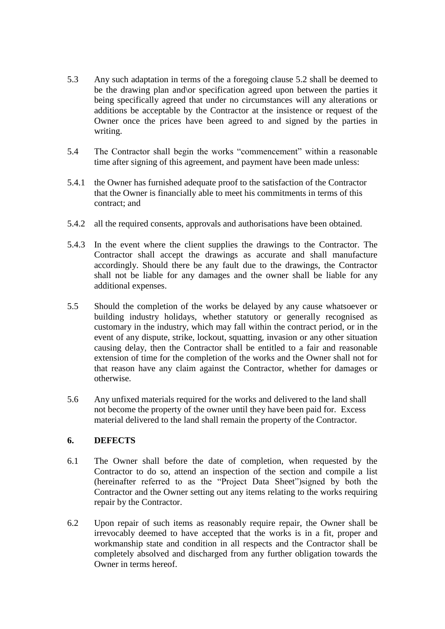- 5.3 Any such adaptation in terms of the a foregoing clause 5.2 shall be deemed to be the drawing plan and\or specification agreed upon between the parties it being specifically agreed that under no circumstances will any alterations or additions be acceptable by the Contractor at the insistence or request of the Owner once the prices have been agreed to and signed by the parties in writing.
- 5.4 The Contractor shall begin the works "commencement" within a reasonable time after signing of this agreement, and payment have been made unless:
- 5.4.1 the Owner has furnished adequate proof to the satisfaction of the Contractor that the Owner is financially able to meet his commitments in terms of this contract; and
- 5.4.2 all the required consents, approvals and authorisations have been obtained.
- 5.4.3 In the event where the client supplies the drawings to the Contractor. The Contractor shall accept the drawings as accurate and shall manufacture accordingly. Should there be any fault due to the drawings, the Contractor shall not be liable for any damages and the owner shall be liable for any additional expenses.
- 5.5 Should the completion of the works be delayed by any cause whatsoever or building industry holidays, whether statutory or generally recognised as customary in the industry, which may fall within the contract period, or in the event of any dispute, strike, lockout, squatting, invasion or any other situation causing delay, then the Contractor shall be entitled to a fair and reasonable extension of time for the completion of the works and the Owner shall not for that reason have any claim against the Contractor, whether for damages or otherwise.
- 5.6 Any unfixed materials required for the works and delivered to the land shall not become the property of the owner until they have been paid for. Excess material delivered to the land shall remain the property of the Contractor.

#### **6. DEFECTS**

- 6.1 The Owner shall before the date of completion, when requested by the Contractor to do so, attend an inspection of the section and compile a list (hereinafter referred to as the "Project Data Sheet")signed by both the Contractor and the Owner setting out any items relating to the works requiring repair by the Contractor.
- 6.2 Upon repair of such items as reasonably require repair, the Owner shall be irrevocably deemed to have accepted that the works is in a fit, proper and workmanship state and condition in all respects and the Contractor shall be completely absolved and discharged from any further obligation towards the Owner in terms hereof.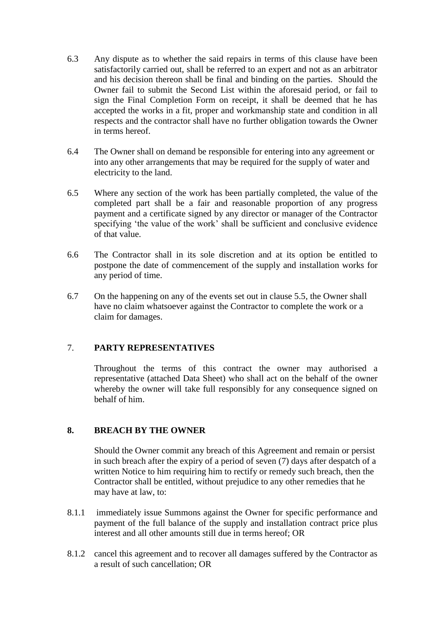- 6.3 Any dispute as to whether the said repairs in terms of this clause have been satisfactorily carried out, shall be referred to an expert and not as an arbitrator and his decision thereon shall be final and binding on the parties. Should the Owner fail to submit the Second List within the aforesaid period, or fail to sign the Final Completion Form on receipt, it shall be deemed that he has accepted the works in a fit, proper and workmanship state and condition in all respects and the contractor shall have no further obligation towards the Owner in terms hereof.
- 6.4 The Owner shall on demand be responsible for entering into any agreement or into any other arrangements that may be required for the supply of water and electricity to the land.
- 6.5 Where any section of the work has been partially completed, the value of the completed part shall be a fair and reasonable proportion of any progress payment and a certificate signed by any director or manager of the Contractor specifying 'the value of the work' shall be sufficient and conclusive evidence of that value.
- 6.6 The Contractor shall in its sole discretion and at its option be entitled to postpone the date of commencement of the supply and installation works for any period of time.
- 6.7 On the happening on any of the events set out in clause 5.5, the Owner shall have no claim whatsoever against the Contractor to complete the work or a claim for damages.

## 7. **PARTY REPRESENTATIVES**

Throughout the terms of this contract the owner may authorised a representative (attached Data Sheet) who shall act on the behalf of the owner whereby the owner will take full responsibly for any consequence signed on behalf of him.

#### **8. BREACH BY THE OWNER**

Should the Owner commit any breach of this Agreement and remain or persist in such breach after the expiry of a period of seven (7) days after despatch of a written Notice to him requiring him to rectify or remedy such breach, then the Contractor shall be entitled, without prejudice to any other remedies that he may have at law, to:

- 8.1.1 immediately issue Summons against the Owner for specific performance and payment of the full balance of the supply and installation contract price plus interest and all other amounts still due in terms hereof; OR
- 8.1.2 cancel this agreement and to recover all damages suffered by the Contractor as a result of such cancellation; OR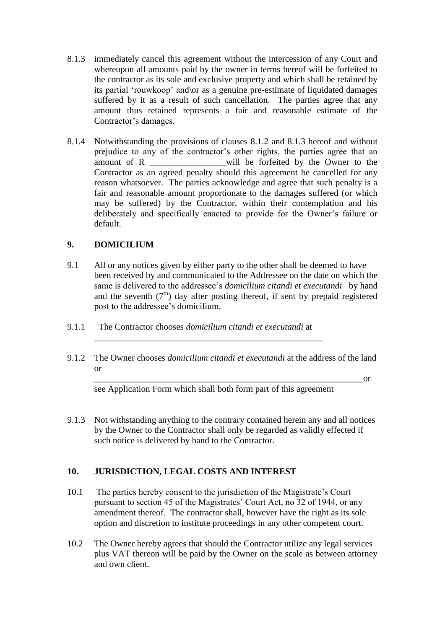- 8.1.3 immediately cancel this agreement without the intercession of any Court and whereupon all amounts paid by the owner in terms hereof will be forfeited to the contractor as its sole and exclusive property and which shall be retained by its partial 'rouwkoop' and\or as a genuine pre-estimate of liquidated damages suffered by it as a result of such cancellation. The parties agree that any amount thus retained represents a fair and reasonable estimate of the Contractor's damages.
- 8.1.4 Notwithstanding the provisions of clauses 8.1.2 and 8.1.3 hereof and without prejudice to any of the contractor's other rights, the parties agree that an amount of R will be forfeited by the Owner to the Contractor as an agreed penalty should this agreement be cancelled for any reason whatsoever. The parties acknowledge and agree that such penalty is a fair and reasonable amount proportionate to the damages suffered (or which may be suffered) by the Contractor, within their contemplation and his deliberately and specifically enacted to provide for the Owner's failure or default.

## **9. DOMICILIUM**

- 9.1 All or any notices given by either party to the other shall be deemed to have been received by and communicated to the Addressee on the date on which the same is delivered to the addressee's *domicilium citandi et executandi* by hand and the seventh  $(7<sup>th</sup>)$  day after posting thereof, if sent by prepaid registered post to the addressee's domicilium.
- 9.1.1 The Contractor chooses *domicilium citandi et executandi* at
- 9.1.2 The Owner chooses *domicilium citandi et executandi* at the address of the land or

 $\overline{\phantom{a}}$  or

see Application Form which shall both form part of this agreement

\_\_\_\_\_\_\_\_\_\_\_\_\_\_\_\_\_\_\_\_\_\_\_\_\_\_\_\_\_\_\_\_\_\_\_\_\_\_\_\_\_\_\_\_\_\_\_\_\_\_\_

9.1.3 Not withstanding anything to the contrary contained herein any and all notices by the Owner to the Contractor shall only be regarded as validly effected if such notice is delivered by hand to the Contractor.

# **10. JURISDICTION, LEGAL COSTS AND INTEREST**

- 10.1 The parties hereby consent to the jurisdiction of the Magistrate's Court pursuant to section 45 of the Magistrates' Court Act, no 32 of 1944, or any amendment thereof. The contractor shall, however have the right as its sole option and discretion to institute proceedings in any other competent court.
- 10.2 The Owner hereby agrees that should the Contractor utilize any legal services plus VAT thereon will be paid by the Owner on the scale as between attorney and own client.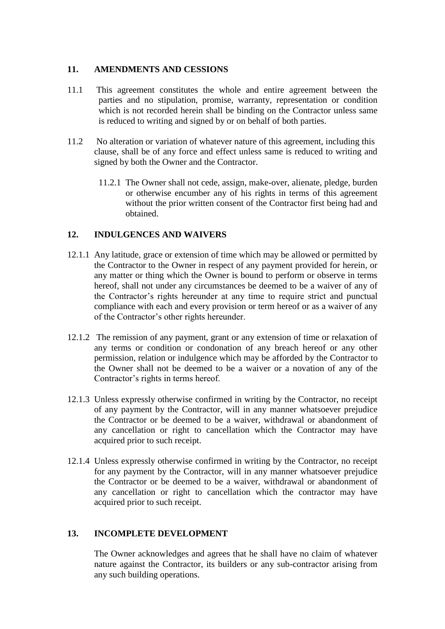#### **11. AMENDMENTS AND CESSIONS**

- 11.1 This agreement constitutes the whole and entire agreement between the parties and no stipulation, promise, warranty, representation or condition which is not recorded herein shall be binding on the Contractor unless same is reduced to writing and signed by or on behalf of both parties.
- 11.2 No alteration or variation of whatever nature of this agreement, including this clause, shall be of any force and effect unless same is reduced to writing and signed by both the Owner and the Contractor.
	- 11.2.1 The Owner shall not cede, assign, make-over, alienate, pledge, burden or otherwise encumber any of his rights in terms of this agreement without the prior written consent of the Contractor first being had and obtained.

#### **12. INDULGENCES AND WAIVERS**

- 12.1.1 Any latitude, grace or extension of time which may be allowed or permitted by the Contractor to the Owner in respect of any payment provided for herein, or any matter or thing which the Owner is bound to perform or observe in terms hereof, shall not under any circumstances be deemed to be a waiver of any of the Contractor's rights hereunder at any time to require strict and punctual compliance with each and every provision or term hereof or as a waiver of any of the Contractor's other rights hereunder.
- 12.1.2 The remission of any payment, grant or any extension of time or relaxation of any terms or condition or condonation of any breach hereof or any other permission, relation or indulgence which may be afforded by the Contractor to the Owner shall not be deemed to be a waiver or a novation of any of the Contractor's rights in terms hereof.
- 12.1.3 Unless expressly otherwise confirmed in writing by the Contractor, no receipt of any payment by the Contractor, will in any manner whatsoever prejudice the Contractor or be deemed to be a waiver, withdrawal or abandonment of any cancellation or right to cancellation which the Contractor may have acquired prior to such receipt.
- 12.1.4 Unless expressly otherwise confirmed in writing by the Contractor, no receipt for any payment by the Contractor, will in any manner whatsoever prejudice the Contractor or be deemed to be a waiver, withdrawal or abandonment of any cancellation or right to cancellation which the contractor may have acquired prior to such receipt.

#### **13. INCOMPLETE DEVELOPMENT**

The Owner acknowledges and agrees that he shall have no claim of whatever nature against the Contractor, its builders or any sub-contractor arising from any such building operations.